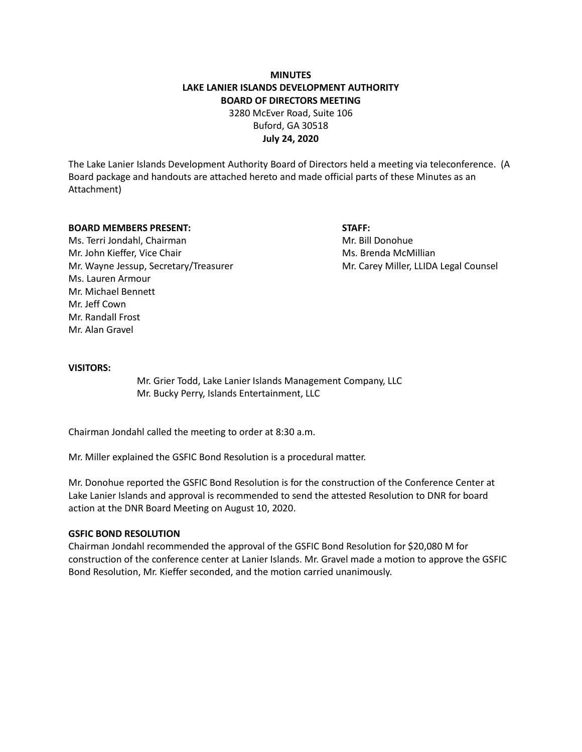# **MINUTES LAKE LANIER ISLANDS DEVELOPMENT AUTHORITY BOARD OF DIRECTORS MEETING**

3280 McEver Road, Suite 106 Buford, GA 30518 **July 24, 2020**

The Lake Lanier Islands Development Authority Board of Directors held a meeting via teleconference. (A Board package and handouts are attached hereto and made official parts of these Minutes as an Attachment)

## **BOARD MEMBERS PRESENT: STAFF:**

Ms. Terri Jondahl, Chairman Mr. Bill Donohue Mr. John Kieffer, Vice Chair Michael McMillian Ms. Brenda McMillian Mr. Wayne Jessup, Secretary/Treasurer Mr. Carey Miller, LLIDA Legal Counsel Ms. Lauren Armour Mr. Michael Bennett Mr. Jeff Cown Mr. Randall Frost Mr. Alan Gravel

## **VISITORS:**

Mr. Grier Todd, Lake Lanier Islands Management Company, LLC Mr. Bucky Perry, Islands Entertainment, LLC

Chairman Jondahl called the meeting to order at 8:30 a.m.

Mr. Miller explained the GSFIC Bond Resolution is a procedural matter.

Mr. Donohue reported the GSFIC Bond Resolution is for the construction of the Conference Center at Lake Lanier Islands and approval is recommended to send the attested Resolution to DNR for board action at the DNR Board Meeting on August 10, 2020.

### **GSFIC BOND RESOLUTION**

Chairman Jondahl recommended the approval of the GSFIC Bond Resolution for \$20,080 M for construction of the conference center at Lanier Islands. Mr. Gravel made a motion to approve the GSFIC Bond Resolution, Mr. Kieffer seconded, and the motion carried unanimously.